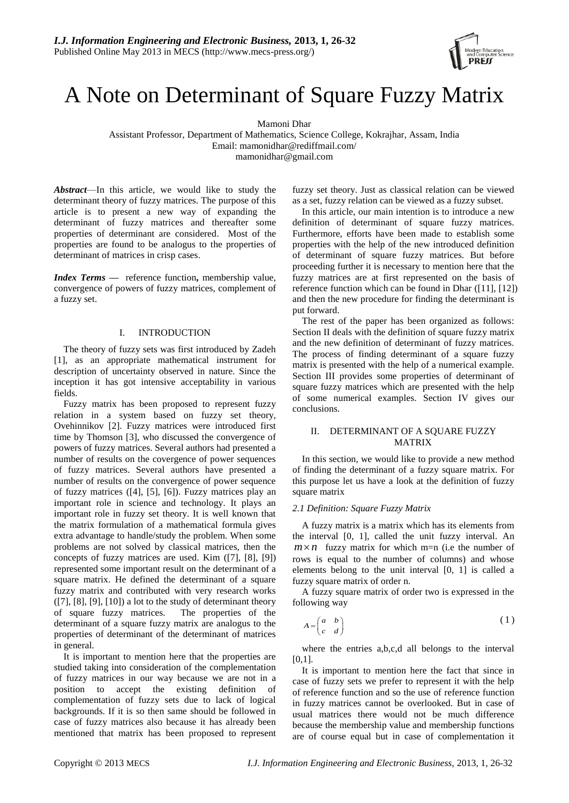

# A Note on Determinant of Square Fuzzy Matrix

Mamoni Dhar

Assistant Professor, Department of Mathematics, Science College, Kokrajhar, Assam, India Email: mamonidhar@rediffmail.com/ mamonidhar@gmail.com

*Abstract*—In this article, we would like to study the determinant theory of fuzzy matrices. The purpose of this article is to present a new way of expanding the determinant of fuzzy matrices and thereafter some properties of determinant are considered. Most of the properties are found to be analogus to the properties of determinant of matrices in crisp cases.

*Index Terms* **—** reference function**,** membership value, convergence of powers of fuzzy matrices, complement of a fuzzy set.

## I. INTRODUCTION

The theory of fuzzy sets was first introduced by Zadeh [1], as an appropriate mathematical instrument for description of uncertainty observed in nature. Since the inception it has got intensive acceptability in various fields.

Fuzzy matrix has been proposed to represent fuzzy relation in a system based on fuzzy set theory, Ovehinnikov [2]. Fuzzy matrices were introduced first time by Thomson [3], who discussed the convergence of powers of fuzzy matrices. Several authors had presented a number of results on the covergence of power sequences of fuzzy matrices. Several authors have presented a number of results on the convergence of power sequence of fuzzy matrices ([4], [5], [6]). Fuzzy matrices play an important role in science and technology. It plays an important role in fuzzy set theory. It is well known that the matrix formulation of a mathematical formula gives extra advantage to handle/study the problem. When some problems are not solved by classical matrices, then the concepts of fuzzy matrices are used. Kim ([7], [8], [9]) represented some important result on the determinant of a square matrix. He defined the determinant of a square fuzzy matrix and contributed with very research works  $([7], [8], [9], [10])$  a lot to the study of determinant theory of square fuzzy matrices. The properties of the determinant of a square fuzzy matrix are analogus to the properties of determinant of the determinant of matrices in general.

It is important to mention here that the properties are studied taking into consideration of the complementation of fuzzy matrices in our way because we are not in a position to accept the existing definition of complementation of fuzzy sets due to lack of logical backgrounds. If it is so then same should be followed in case of fuzzy matrices also because it has already been mentioned that matrix has been proposed to represent fuzzy set theory. Just as classical relation can be viewed as a set, fuzzy relation can be viewed as a fuzzy subset.

In this article, our main intention is to introduce a new definition of determinant of square fuzzy matrices. Furthermore, efforts have been made to establish some properties with the help of the new introduced definition of determinant of square fuzzy matrices. But before proceeding further it is necessary to mention here that the fuzzy matrices are at first represented on the basis of reference function which can be found in Dhar ([11], [12]) and then the new procedure for finding the determinant is put forward.

The rest of the paper has been organized as follows: Section II deals with the definition of square fuzzy matrix and the new definition of determinant of fuzzy matrices. The process of finding determinant of a square fuzzy matrix is presented with the help of a numerical example. Section III provides some properties of determinant of square fuzzy matrices which are presented with the help of some numerical examples. Section IV gives our conclusions.

## II. DETERMINANT OF A SQUARE FUZZY MATRIX

In this section, we would like to provide a new method of finding the determinant of a fuzzy square matrix. For this purpose let us have a look at the definition of fuzzy square matrix

# *2.1 Definition: Square Fuzzy Matrix*

A fuzzy matrix is a matrix which has its elements from the interval [0, 1], called the unit fuzzy interval. An  $m \times n$  fuzzy matrix for which m=n (i.e the number of rows is equal to the number of columns) and whose elements belong to the unit interval [0, 1] is called a fuzzy square matrix of order n.

A fuzzy square matrix of order two is expressed in the following way

$$
A = \begin{pmatrix} a & b \\ c & d \end{pmatrix} \tag{1}
$$

where the entries a,b,c,d all belongs to the interval  $[0,1]$ .

It is important to mention here the fact that since in case of fuzzy sets we prefer to represent it with the help of reference function and so the use of reference function in fuzzy matrices cannot be overlooked. But in case of usual matrices there would not be much difference because the membership value and membership functions are of course equal but in case of complementation it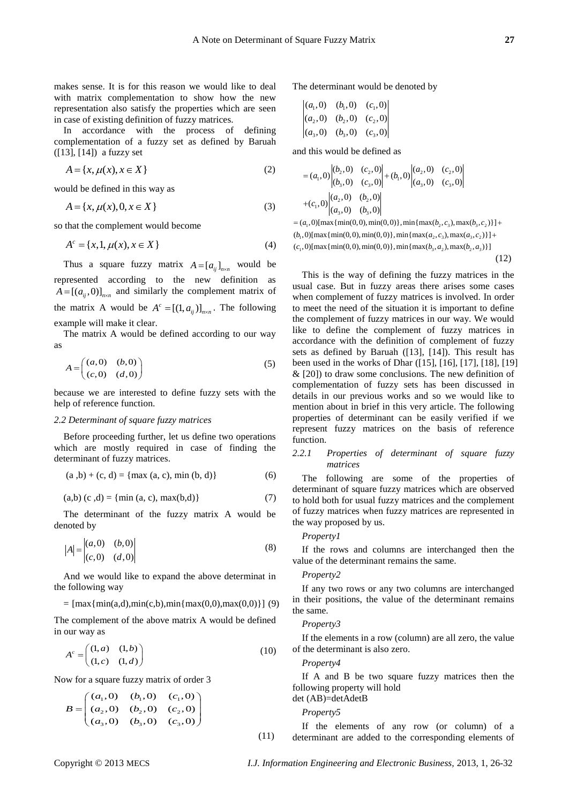makes sense. It is for this reason we would like to deal with matrix complementation to show how the new representation also satisfy the properties which are seen in case of existing definition of fuzzy matrices.

In accordance with the process of defining complementation of a fuzzy set as defined by Baruah  $([13], [14])$  a fuzzy set

$$
A = \{x, \mu(x), x \in X\}
$$
 (2)

would be defined in this way as

$$
A = \{x, \mu(x), 0, x \in X\}
$$
 (3)

so that the complement would become

$$
A^{c} = \{x, 1, \mu(x), x \in X\}
$$
 (4)

Thus a square fuzzy matrix  $A = [a_{ij}]_{n \times n}$  would be represented according to the new definition as  $A = [(a_{ij}, 0)]_{n \times n}$  and similarly the complement matrix of the matrix A would be  $A^c = [(1, a_{ij})]_{n \times n}$ . The following example will make it clear.

The matrix A would be defined according to our way as

$$
A = \begin{pmatrix} (a,0) & (b,0) \\ (c,0) & (d,0) \end{pmatrix}
$$
 (5)

because we are interested to define fuzzy sets with the help of reference function.

#### *2.2 Determinant of square fuzzy matrices*

Before proceeding further, let us define two operations which are mostly required in case of finding the determinant of fuzzy matrices.

$$
(a, b) + (c, d) = \{ \max(a, c), \min(b, d) \}
$$
 (6)

$$
(a,b) (c,d) = \{ \min(a,c), \max(b,d) \}
$$
 (7)

The determinant of the fuzzy matrix A would be denoted by

$$
|A| = \begin{vmatrix} (a,0) & (b,0) \\ (c,0) & (d,0) \end{vmatrix}
$$
 (8)

And we would like to expand the above determinat in the following way

 $=$  [max{min(a,d),min(c,b),min{max(0,0),max(0,0)}] (9)

The complement of the above matrix A would be defined in our way as

$$
Ac = \begin{pmatrix} (1,a) & (1,b) \\ (1,c) & (1,d) \end{pmatrix}
$$
 (10)

Now for a square fuzzy matrix of order 3  
\n
$$
B = \begin{pmatrix} (a_1, 0) & (b_1, 0) & (c_1, 0) \\ (a_2, 0) & (b_2, 0) & (c_2, 0) \\ (a_3, 0) & (b_3, 0) & (c_3, 0) \end{pmatrix}
$$

The determinant would be denoted by

$$
\begin{vmatrix} (a_1, 0) & (b_1, 0) & (c_1, 0) \\ (a_2, 0) & (b_2, 0) & (c_2, 0) \\ (a_3, 0) & (b_3, 0) & (c_3, 0) \end{vmatrix}
$$

and this would be defined as  
\n
$$
= (a_1, 0) \begin{vmatrix} (b_2, 0) & (c_2, 0) \\ (b_3, 0) & (c_3, 0) \end{vmatrix} + (b_1, 0) \begin{vmatrix} (a_2, 0) & (c_2, 0) \\ (a_3, 0) & (c_3, 0) \end{vmatrix}
$$
\n
$$
+ (c_1, 0) \begin{vmatrix} (a_2, 0) & (b_2, 0) \\ (a_3, 0) & (b_3, 0) \end{vmatrix}
$$
\n
$$
= (a_1, 0) [\max{\min(0, 0), \min(0, 0)}, \min{\max(b_2, c_3), \max(b_3, c_2)}]
$$

 $|(a_3, 0) - (b_3, 0)|$ <br>  $= (a_1, 0)$ [max{min(0,0),min(0,0)},min{max( $b_2, c_3$ ),max( $b_3, c_2$ )<br>  $(b_1, 0)$ [max{min(0,0),min(0,0)},min{max( $a_2, c_3$ ),max( $a_3, c_2$ )}]  $(c_1, 0)$ [max { min(0,0), min(0,0)}, min{ max(b<sub>3</sub>, a<sub>2</sub>), max(b<sub>2</sub>, a<sub>3</sub>)}] =  $(a_1, 0)$ [max { min(0,0), min(0,0)}, min{max( $b_2, c_3$ ), max( $b_3, c_2$ )<br>  $(b_1, 0)$ [max { min(0,0), min(0,0)}, min{max( $a_2, c_3$ ), max( $a_3, c_2$ )}]<br>  $(c_1, 0)$ [max { min(0,0), min(0,0)}, min{max( $b_3, a_2$ ), max( $b_2, a_3$ )  $|(a_3, 0) - (b_3, 0)|$ <br>  $= (a_1, 0)$ [max { min(0,0), min(0,0)}, min{max( $b_2, c_3$ ), max( $b_3$ ,<br>  $b_1, 0$ ][max { min(0,0), min(0,0)}, min{max( $a_2, c_3$ ), max( $a_3, c_3$  $\epsilon$  (*a*<sub>1</sub>, 0) [max { min(0, 0), min(0, 0) }, min { max(*b*<sub>2</sub>, *c*<sub>3</sub>), max(*b*<sub>3</sub>, *c*<sub>1</sub>, 0) [max { min(0, 0), min(0, 0) }, min { max(*a*<sub>2</sub>, *c*<sub>3</sub>), max(*a*<sub>3</sub>, *c*<sub>2</sub>, *c*<sub>1</sub>, 0)[max { min(0, 0), min(0, 0) }, min  $^{+}$ (12)

This is the way of defining the fuzzy matrices in the usual case. But in fuzzy areas there arises some cases when complement of fuzzy matrices is involved. In order to meet the need of the situation it is important to define the complement of fuzzy matrices in our way. We would like to define the complement of fuzzy matrices in accordance with the definition of complement of fuzzy sets as defined by Baruah ([13], [14]). This result has been used in the works of Dhar ([15], [16], [17], [18], [19]  $\&$  [20]) to draw some conclusions. The new definition of complementation of fuzzy sets has been discussed in details in our previous works and so we would like to mention about in brief in this very article. The following properties of determinant can be easily verified if we represent fuzzy matrices on the basis of reference function.

## *2.2.1 Properties of determinant of square fuzzy matrices*

The following are some of the properties of determinant of square fuzzy matrices which are observed to hold both for usual fuzzy matrices and the complement of fuzzy matrices when fuzzy matrices are represented in the way proposed by us.

## *Property1*

If the rows and columns are interchanged then the value of the determinant remains the same.

#### *Property2*

If any two rows or any two columns are interchanged in their positions, the value of the determinant remains the same.

#### *Property3*

If the elements in a row (column) are all zero, the value of the determinant is also zero.

#### *Property4*

If A and B be two square fuzzy matrices then the following property will hold det (AB)=detAdetB

# *Property5*

(11)

If the elements of any row (or column) of a determinant are added to the corresponding elements of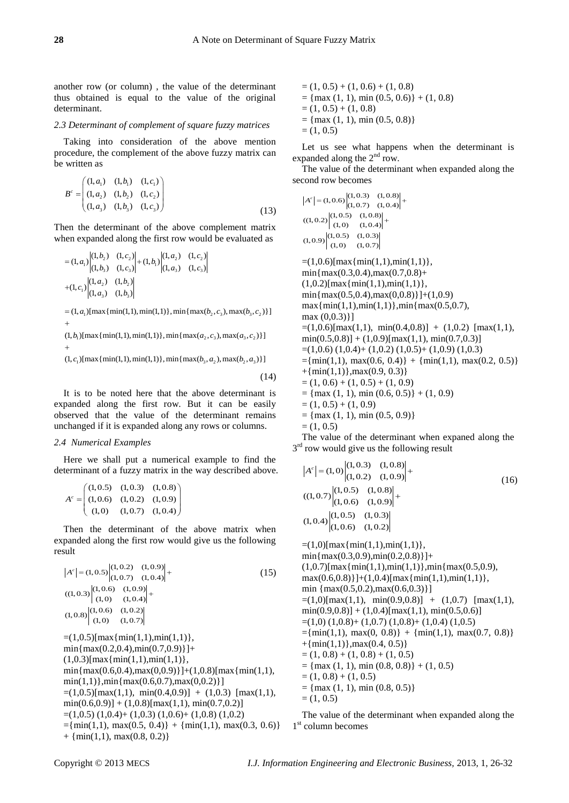another row (or column) , the value of the determinant thus obtained is equal to the value of the original determinant.

#### *2.3 Determinant of complement of square fuzzy matrices*

Taking into consideration of the above mention procedure, the complement of the above fuzzy matrix can be written as

$$
B^{c} = \begin{pmatrix} (1, a_{1}) & (1, b_{1}) & (1, c_{1}) \\ (1, a_{2}) & (1, b_{2}) & (1, c_{2}) \\ (1, a_{3}) & (1, b_{3}) & (1, c_{3}) \end{pmatrix}
$$
 (13)

Then the determinant of the above complement matrix when expanded along the first row would be evaluated as<br>  $= (1, a) |(1, b_2) \quad (1, c_2)|_{+(1, b)} |(1, a_2) \quad (1, c_2)|$ 

$$
= (1, a_1) \begin{vmatrix} (1, b_2) & (1, c_2) \\ (1, b_3) & (1, c_3) \end{vmatrix} + (1, b_1) \begin{vmatrix} (1, a_2) & (1, c_2) \\ (1, a_3) & (1, c_3) \end{vmatrix}
$$
  
+ (1, c<sub>1</sub>)  $\begin{vmatrix} (1, a_2) & (1, b_2) \\ (1, a_3) & (1, b_3) \end{vmatrix}$   
= (1, a<sub>1</sub>) [max{min(1, 1), min(1, 1)}, min{max(b<sub>2</sub>, c<sub>3</sub>), max(b<sub>3</sub>, c<sub>2</sub>)}]

$$
= (1, a_1) [\max{\min(1, 1), \min(1, 1)}, \min{\max(b_2, c_3), \max(b_3, c_2)}]
$$
  
+  
(1, b<sub>1</sub>)[max{min(1, 1), min(1, 1)}, min{max(a\_2, c\_3), max(a\_3, c\_2)}]

(1, *b*<sub>1</sub>)[max { min(1, 1), min(1, 1) }, min{ max( $a_2$ ,  $c_3$ ), max( $a_3$ ,  $c_2$ ) }]<br>+<br>(1,  $c_1$ )[max { min(1, 1), min(1, 1) }, min{ max( $b_3$ ,  $a_2$ ), max( $b_2$ ,  $a_3$ ) }]  $^{+}$ 

(14)

It is to be noted here that the above determinant is expanded along the first row. But it can be easily observed that the value of the determinant remains unchanged if it is expanded along any rows or columns.

## *2.4 Numerical Examples*

Here we shall put a numerical example to find the determinant of a fuzzy matrix in the way described above.

$$
A^{c} = \begin{pmatrix} (1,0.5) & (1,0.3) & (1,0.8) \\ (1,0.6) & (1,0.2) & (1,0.9) \\ (1,0) & (1,0.7) & (1,0.4) \end{pmatrix}
$$

Then the determinant of the above matrix when expanded along the first row would give us the following result

$$
|A^{c}| = (1, 0.5) \begin{vmatrix} (1, 0.2) & (1, 0.9) \\ (1, 0.7) & (1, 0.4) \end{vmatrix} + (1, 0.8) \begin{vmatrix} (1, 0.6) & (1, 0.9) \\ (1, 0) & (1, 0.4) \end{vmatrix} + (1, 0.8) \begin{vmatrix} (1, 0.6) & (1, 0.2) \\ (1, 0) & (1, 0.7) \end{vmatrix}
$$
  
= (1, 0.5) [max{min(1,1),min(1,1)},  
min{max(0.2, 0.4),min(0.7, 0.9)}] + (1, 0.3) [max{min(1,1),min(1,1)},  
min{max(0.6, 0.4),max(0, 0.9)}] + (1, 0.8) [max{min(1,1)},  
min(1,1)), min{max(0.6, 0.7),max(0, 0.2)}]  
= (1, 0.5) [max(1,1), min(0.4, 0.9)] + (1, 0.3) [max(1,1),  
min(0.6, 0.9)] + (1, 0.8) [max(1,1), min(0.7, 0.2)]  
= (1, 0.5) (1, 0.4) + (1, 0.3) (1, 0.6) + (1, 0.8) (1, 0.2)  
= {min(1,1), max(0.5, 0.4)} + {min(1,1), max(0.3, 0.6)}  
+ {min(1,1), max(0.8, 0.2)}

 $= (1, 0.5) + (1, 0.6) + (1, 0.8)$  $=$  {max (1, 1), min (0.5, 0.6)} + (1, 0.8)  $= (1, 0.5) + (1, 0.8)$  $=$  {max (1, 1), min (0.5, 0.8)}  $= (1, 0.5)$ 

Let us see what happens when the determinant is expanded along the  $2<sup>nd</sup>$  row.

The value of the determinant when expanded along the second row becomes

$$
|Ac| = (1, 0.6) \begin{vmatrix} (1, 0.3) & (1, 0.8) \\ (1, 0.7) & (1, 0.4) \end{vmatrix} + (1, 0.9) \begin{vmatrix} (1, 0.5) & (1, 0.8) \\ (1, 0) & (1, 0.4) \end{vmatrix} + (1, 0.9) \begin{vmatrix} (1, 0.5) & (1, 0.3) \\ (1, 0) & (1, 0.7) \end{vmatrix}
$$
  
= (1, 0.6) [max{min(1,1),min(1,1)},  
min{max(0.3,0.4),max(0.7,0.8)+  
(1, 0.2) [max{min(1,1),min(1,1)},  
min{max(0.5,0.4),max(0,0.8)}]+(1,0.9)  
max{min(1,1),min(1,1)},min{max(0.5,0.7)},  
max (0,0.3)]  
= (1, 0.6) [max(1,1), min(0.4,0.8)] + (1,0.2) [max(1,1),  
min(0.5,0.8)] + (1,0.9) [max(1,1), min(0.7,0.3)]  
= (1, 0.6) (1,0.4) + (1,0.2) (1,0.5) + (1,0.9) (1,0.3)  
= {min(1,1), max(0.6, 0.4)} + {min(1,1), max(0.2, 0.5)}  
+ {min(1,1), max(0.9, 0.3)}  
= (1, 0.6) + (1, 0.5) + (1, 0.9)  
= {max (1, 1), min (0.6, 0.5)} + (1, 0.9)  
= {max (1, 1), min (0.5, 0.9)}  
= (1, 0.5)

The value of the determinant when expaned along the  $3<sup>rd</sup>$  row would give us the following result

$$
|A^{c}| = (1,0) \begin{vmatrix} (1,0.3) & (1,0.8) \\ (1,0.2) & (1,0.9) \end{vmatrix} + (1,0.7) \begin{vmatrix} (1,0.5) & (1,0.8) \\ (1,0.6) & (1,0.9) \end{vmatrix} + (1,0.4) \begin{vmatrix} (1,0.5) & (1,0.3) \\ (1,0.6) & (1,0.2) \end{vmatrix}
$$
  
= (1,0)[max{min(1,1),min(1,1)}, min{max(0.5,0.9)}, max(0.6,0.8)]+  
(1,0.7)[max{min(1,1),min(1,1)},min{max(0.5,0.9)}, max(0.6,0.8)]+ (1,0.4)[max{min(1,1),min(1,1)}, min{max(0.5,0.2)}, max(0.6,0.3)]  
= (1,0)[max(1,1), min(0.9,0.8)] + (1,0.7) [max(1,1), min(0.9,0.8)]- (1,0) (1,0.8) + (1,0.7) (1,0.8) + (1,0.4) (1,0.5)  
= {min(1,1), max(0, 0.8)} + {min(1,1), max(0.7, 0.8)} + {min(1,1), max(0.7, 0.8)} + {min(1,1), max(0.4, 0.5)}  
= (1,0.8) + (1,0.8) + (1,0.5)  
= {max (1, 1), min (0.8, 0.8)} + {1, 0.5}  
= {max (1, 1), min (0.8, 0.5)}  
= (1,0.5)

The value of the determinant when expanded along the 1<sup>st</sup> column becomes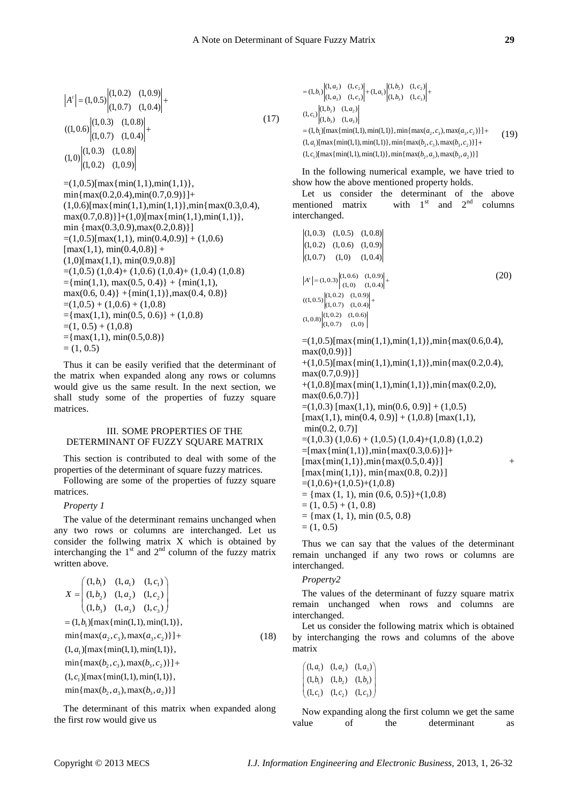$$
|Ac| = (1, 0.5) |(1, 0.2) (1, 0.9)|(1, 0.7) (1, 0.4)|+((1, 0.6) |(1, 0.3) (1, 0.8)|(1, 0.7) (1, 0.4)|+(1, 0) |(1, 0.3) (1, 0.8)|(1, 0.2) (1, 0.9)|
$$

```
=(1,0.5)[max{min(1,1),min(1,1)},
min{max(0.2, 0.4)},min(0.7, 0.9)}]+
(1,0.6)[max{min(1,1),min(1,1)},min{max(0.3,0.4),
max(0.7,0.8)}]+(1,0)[max{min(1,1),min(1,1)},
min \{max(0.3,0.9), max(0.2,0.8)\}\=(1,0.5)[max(1,1), min(0.4,0.9)] + (1,0.6)
[\max(1,1), \min(0.4, 0.8)] +(1,0)[max(1,1), min(0.9,0.8)]
=(1,0.5) (1,0.4) + (1,0.6) (1,0.4) + (1,0.4) (1,0.8)=\{min(1,1), max(0.5, 0.4)\} + \{min(1,1),max(0.6, 0.4) + {min(1,1)},max(0.4, 0.8)}
=(1,0.5) + (1,0.6) + (1,0.8)=\{max(1,1), min(0.5, 0.6)\} + (1,0.8)=(1, 0.5) + (1, 0.8)=\{max(1,1), min(0.5,0.8)\}= (1, 0.5)
```
Thus it can be easily verified that the determinant of the matrix when expanded along any rows or columns would give us the same result. In the next section, we shall study some of the properties of fuzzy square matrices.

## III. SOME PROPERTIES OF THE DETERMINANT OF FUZZY SQUARE MATRIX

This section is contributed to deal with some of the properties of the determinant of square fuzzy matrices.

Following are some of the properties of fuzzy square matrices.

## *Property 1*

The value of the determinant remains unchanged when any two rows or columns are interchanged. Let us consider the follwing matrix X which is obtained by interchanging the  $1<sup>st</sup>$  and  $2<sup>nd</sup>$  column of the fuzzy matrix written above.

$$
X = \begin{pmatrix} (1, b_1) & (1, a_1) & (1, c_1) \\ (1, b_2) & (1, a_2) & (1, c_2) \\ (1, b_3) & (1, a_3) & (1, c_3) \end{pmatrix}
$$
  
= (1, b<sub>1</sub>)[max{min(1, 1), min(1, 1)},  
min{max(a<sub>2</sub>, c<sub>3</sub>), max(a<sub>3</sub>, c<sub>2</sub>)}]+  
(1, a<sub>1</sub>)[max{min(1, 1), min(1, 1)},  
min{max(b<sub>2</sub>, c<sub>3</sub>), max(b<sub>3</sub>, c<sub>2</sub>)}]+  
(1, c<sub>1</sub>)[max{min(1, 1), min(1, 1)},  
min{max(b<sub>2</sub>, a<sub>3</sub>), max(b<sub>3</sub>, a<sub>2</sub>)}]

The determinant of this matrix when expanded along the first row would give us

$$
= (1, b1) \begin{vmatrix} (1, a2) & (1, c2) \\ (1, a3) & (1, c3) \end{vmatrix} + (1, a1) \begin{vmatrix} (1, b2) & (1, c2) \\ (1, b3) & (1, c3) \end{vmatrix} +
$$
  
\n
$$
(1, c1) \begin{vmatrix} (1, b2) & (1, a2) \\ (1, b3) & (1, a3) \end{vmatrix}
$$
  
\n
$$
= (1, b1) [\max \{ \min(1, 1), \min(1, 1) \}, \min \{ \max(a2, c3), \max(b3, c2) \} ] +
$$
  
\n
$$
(1, a1) [\max \{ \min(1, 1), \min(1, 1) \}, \min \{ \max(b2, c3), \max(b3, c2) \} ] +
$$
  
\n
$$
(1, c1) [\max \{ \min(1, 1), \min(1, 1) \}, \min \{ \max(b2, a3), \max(b3, a2) \} ]
$$

In the following numerical example, we have tried to show how the above mentioned property holds.

Let us consider the determinant of the above mentioned matrix with  $1<sup>st</sup>$  and  $2<sup>nd</sup>$  columns interchanged.

$$
(1,0.3) (1,0.5) (1,0.8)
$$
  
\n
$$
(1,0.2) (1,0.6) (1,0.9)
$$
  
\n
$$
(1,0.7) (1,0) (1,0.4)
$$
  
\n
$$
|Ac| = (1,0.3) \begin{vmatrix} 1,0.6 & (1,0.9) \\ (1,0) & (1,0.4) \end{vmatrix} + (1,0.5) \begin{vmatrix} 1,0.2 & (1,0.9) \\ (1,0.7) & (1,0.4) \end{vmatrix} + (1,0.8) \begin{vmatrix} 1,0.2 & (1,0.6) \\ (1,0.7) & (1,0.6) \end{vmatrix}
$$
  
\n
$$
(1,0.8) \begin{vmatrix} 1,0.2 & (1,0.6) \\ (1,0.7) & (1,0) \end{vmatrix}
$$

 $=(1,0.5)$ [max{min(1,1),min(1,1)},min{max(0.6,0.4),  $max(0,0.9)$ }]  $+(1,0.5)$ [max{min(1,1),min(1,1)},min{max(0.2,0.4),  $max(0.7, 0.9)$  $+(1,0.8)$ [max{min(1,1),min(1,1)},min{max(0.2,0),  $max(0.6, 0.7)$ }  $=(1,0.3)$  [max(1,1), min(0.6, 0.9)] + (1,0.5)  $[\max(1,1), \min(0.4, 0.9)] + (1,0.8) [\max(1,1),$  $min(0.2, 0.7)]$  $=(1,0.3)(1,0.6) + (1,0.5)(1,0.4) + (1,0.8)(1,0.2)$  $=[\max{\min(1,1)},\min{\max(0.3,0.6)}]+$  $[\max{\min(1,1)},\min{\max(0.5,0.4)}]$  +  $[\max{\min(1,1)}, \min{\max(0.8, 0.2)}]$  $=(1,0.6)+(1,0.5)+(1,0.8)$  $=$  {max (1, 1), min (0.6, 0.5)}+(1,0.8)  $= (1, 0.5) + (1, 0.8)$  $=$  {max (1, 1), min (0.5, 0.8)  $= (1, 0.5)$ 

Thus we can say that the values of the determinant remain unchanged if any two rows or columns are interchanged.

#### *Property2*

The values of the determinant of fuzzy square matrix remain unchanged when rows and columns are interchanged.

Let us consider the following matrix which is obtained by interchanging the rows and columns of the above matrix

|  | $\begin{pmatrix} (1,a_1) & (1,a_2) & (1,a_3) \\ (1,b_1) & (1,b_2) & (1,b_3) \\ (1,c_1) & (1,c_2) & (1,c_3) \end{pmatrix}$ |
|--|---------------------------------------------------------------------------------------------------------------------------|

Now expanding along the first column we get the same value of the determinant as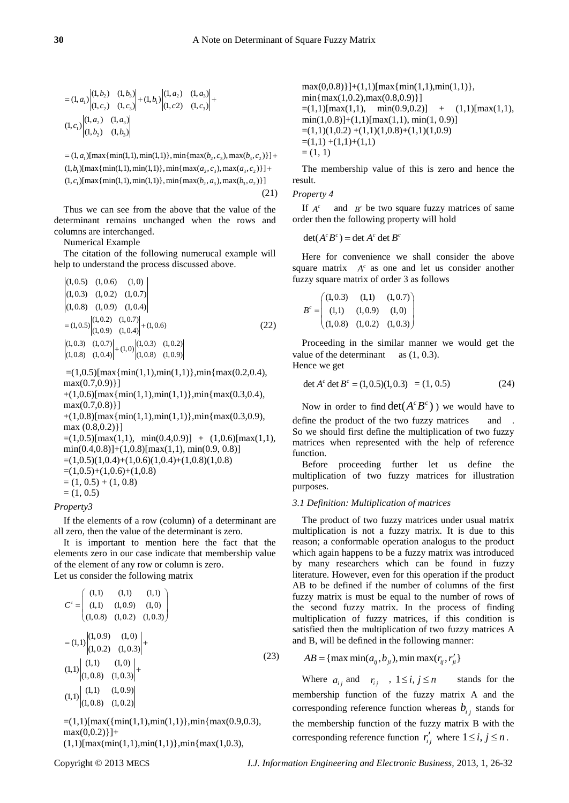$$
= (1, a_1) \begin{vmatrix} (1, b_2) & (1, b_3) \\ (1, c_2) & (1, c_3) \end{vmatrix} + (1, b_1) \begin{vmatrix} (1, a_2) & (1, a_3) \\ (1, c_2) & (1, c_3) \end{vmatrix} + (1, b_1) \begin{vmatrix} (1, a_2) & (1, a_3) \\ (1, c_2) & (1, c_3) \end{vmatrix}
$$

<sup>1</sup>  $|(1, b_2)$   $(1, b_3)|$ <br>(1, a<sub>1</sub>)[max{min(1,1),min(1,1)},min{max(b<sub>2</sub>, c<sub>3</sub>),max(b<sub>3</sub>, c<sub>2</sub>)}]  $\{a_1, a_1, a_2, a_3, a_2, a_3, a_4, a_5, a_6, a_7, a_8, a_9, a_1, a_1, a_2, a_3, a_4, a_5, a_6, a_7, a_8, a_9, a_1, a_1, a_2, a_3, a_4, a_1, a_1, a_2, a_3, a_4, a_1, a_1, a_2, a_3, a_4, a_5, a_6, a_7, a_8, a_1, a_2, a_3, a_4, a_5, a_6, a_7, a_8, a_1, a_2, a_3, a_4, a_5, a_$ = (1,  $a_1$ )[max{min(1,1),min(1,1)},min{max( $b_2$ ,  $c_3$ ),max( $b_3$ ,  $c_2$ )]<br>(1,  $b_1$ )[max{min(1,1),min(1,1)},min{max( $a_2$ ,  $c_3$ ),max( $a_3$ ,  $c_2$ )}]<br>(1,  $c_1$ )[max{min(1,1),min(1,1)},min{max( $b_2$ ,  $a_3$ ),max( $b_3$ , = (1,  $a_1$ )[max{min(1,1),min(1,1)},min{max( $b_2$ ,  $c_3$ ),max( $b_3$ ,  $c_2$ )]<br>(1,  $b_1$ )[max{min(1,1),min(1,1)},min{max( $a_2$ ,  $c_3$ ),max( $a_3$ ,  $c_2$ )}] |(1, *b*<sub>2</sub>) (1, *b*<sub>3</sub>)|<br> *a*<sub>1</sub>)[max { min(1, 1), min(1, 1)}, min{ max(*b*<sub>2</sub>, *c*<sub>3</sub>), max(*b*<sub>3</sub>, *c*<sub>2</sub>)  $(1, a_1)$ [max { min(1,1), min(1,1)}, min { max( $b_2, c_3$ ), max( $b_3$ ,<br> $b_1$ )[max { min(1,1), min(1,1)}, min { max( $a_2, c_3$ ), max( $a_3, c_3$  $=(1, a_1)[\max{\{min(1,1), min(1,1)\}}, \min{\{max(b_2, c_3), max(b_3, c_2)\}}]$  + =

(21)

Thus we can see from the above that the value of the determinant remains unchanged when the rows and columns are interchanged.

Numerical Example

The citation of the following numerucal example will help to understand the process discussed above.

$$
\begin{aligned}\n(1,0.5) & (1,0.6) & (1,0) \\
(1,0.3) & (1,0.2) & (1,0.7) \\
(1,0.8) & (1,0.9) & (1,0.4) \\
(1,0.9) & (1,0.4) \\
(1,0.9) & (1,0.4) \\
(1,0.9) & (1,0.4) \\
(1,0.9) & (1,0.4) \\
(1,0.8) & (1,0.7) \\
(1,0.8) & (1,0.4) \\
(1,0.9) & (1,0.4) \\
(1,0.9) & (1,0.3) & (1,0.2) \\
(1,0.8) & (1,0.4) \\
(1,0.8) & (1,0.4) \\
(1,0.8) & (1,0.4) \\
(1,0.9) & (1,0.3) & (1,0.2) \\
(1,0.9) & (1,0.9) \\
(1,0.9) & (1,0.9) \\
(1,0.9) & (1,0.9) \\
(1,0.9) & (1,0.9) \\
(1,0.5) & [max \{ \min(1,1), \min(1,1) \}, \min \{ \max(0.3,0.4), \max(0.7,0.8) \} ] \\
(1,0.5) & [max(1,1), \min(0.4,0.9)] + (1,0.6) & [max(1,1), \min(0.4,0.8)] \\
(1,0.5) & (1,0.4) + (1,0.6) & (1,0.4) + (1,0.8) & (1,0.8) \\
(1,0.5) + (1,0.6) + (1,0.8) & (1,0.5) + (1,0.6) \\
(1,0.5) & (1,0.6) + (1,0.8) \\
(1,0.5) & (1,0.6) + (1,0.8) \\
(1,0.5) & (1,0.6) + (1,0.8) \\
(1,0.5) & (1,0.6) + (1,0.8) \\
(1,0.6) & (1,0.6) + (1,0.8) \\
(1,0.6) & (1,0.7) \\
(1
$$

*Property3*

If the elements of a row (column) of a determinant are all zero, then the value of the determinant is zero.

It is important to mention here the fact that the elements zero in our case indicate that membership value of the element of any row or column is zero. Let us consider the following matrix

$$
C^{c} = \begin{pmatrix} (1,1) & (1,1) & (1,1) \\ (1,1) & (1,0.9) & (1,0) \\ (1,0.8) & (1,0.2) & (1,0.3) \end{pmatrix}
$$
  
=  $(1,1)$   $\begin{vmatrix} (1,0.9) & (1,0) \\ (1,0.2) & (1,0.3) \end{vmatrix} +$   
 $(1,1)$   $\begin{vmatrix} (1,1) & (1,0) \\ (1,0.8) & (1,0.3) \end{vmatrix} +$   
 $(1,1)$   $\begin{vmatrix} (1,1) & (1,0.9) \\ (1,0.8) & (1,0.2) \end{vmatrix}$ 

 $=(1,1)[\max(\{ \min(1,1), \min(1,1) \}, \min\{\max(0.9, 0.3), \min(1,1) \}]\$  $max(0,0.2)$ }]+

 $(1,1)$ [max(min(1,1),min(1,1)},min{max(1,0.3),

```
max(0,0.8)}]+(1,1)[max{min(1,1),min(1,1)},
min{max(1,0.2), max(0.8,0.9)}=(1,1)[\max(1,1), \min(0.9,0.2)] + (1,1)[\max(1,1),min(1,0.8)]+(1,1)[max(1,1), min(1, 0.9)]=(1,1)(1,0.2) + (1,1)(1,0.8) + (1,1)(1,0.9)=(1,1)+(1,1)+(1,1)= (1, 1)
```
The membership value of this is zero and hence the result.

#### *Property 4*

If  $A^c$ and  $B^c$  be two square fuzzy matrices of same order then the following property will hold

$$
\det(A^c B^c) = \det A^c \det B^c
$$

Here for convenience we shall consider the above square matrix  $A<sup>c</sup>$  as one and let us consider another fuzzy square matrix of order 3 as follows

$$
B^{c} = \begin{pmatrix} (1,0.3) & (1,1) & (1,0.7) \\ (1,1) & (1,0.9) & (1,0) \\ (1,0.8) & (1,0.2) & (1,0.3) \end{pmatrix}
$$

Proceeding in the similar manner we would get the value of the determinant as  $(1, 0.3)$ . Hence we get

$$
\det A^c \det B^c = (1, 0.5)(1, 0.3) = (1, 0.5) \tag{24}
$$

Now in order to find  $\det(A^c B^c)$ ) we would have to define the product of the two fuzzy matrices and So we should first define the multiplication of two fuzzy matrices when represented with the help of reference function.

Before proceeding further let us define the multiplication of two fuzzy matrices for illustration purposes.

#### *3.1 Definition: Multiplication of matrices*

The product of two fuzzy matrices under usual matrix multiplication is not a fuzzy matrix. It is due to this reason; a conformable operation analogus to the product which again happens to be a fuzzy matrix was introduced by many researchers which can be found in fuzzy literature. However, even for this operation if the product AB to be defined if the number of columns of the first fuzzy matrix is must be equal to the number of rows of the second fuzzy matrix. In the process of finding multiplication of fuzzy matrices, if this condition is satisfied then the multiplication of two fuzzy matrices A and B, will be defined in the following manner:<br>  $AB = \{\max \min(a_{ij}, b_{ji}), \min \max(r_{ij}, r'_{ji})\}$ 

$$
AB = \{ \max \min(a_{ij}, b_{ji}), \min \max(r_{ij}, r'_{ij}) \}
$$

Where  $a_{ij}$  and  $r_{ij}$ ,  $1 \le i, j \le n$  stands for the membership function of the fuzzy matrix A and the corresponding reference function whereas  $b_{ij}$  stands for the membership function of the fuzzy matrix B with the corresponding reference function  $r'_{ij}$  where  $1 \le i, j \le n$ .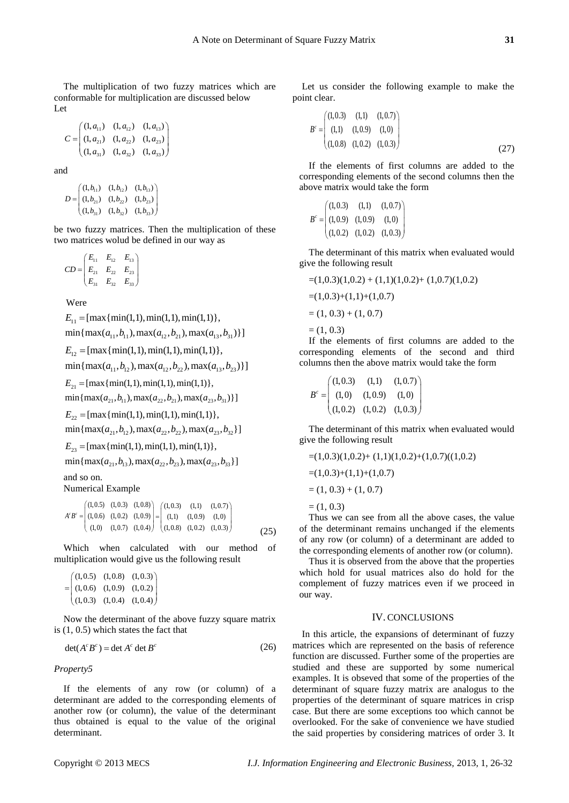The multiplication of two fuzzy matrices which are conformable for multiplication are discussed below Let

$$
C = \begin{pmatrix} (1, a_{11}) & (1, a_{12}) & (1, a_{13}) \\ (1, a_{21}) & (1, a_{22}) & (1, a_{23}) \\ (1, a_{31}) & (1, a_{32}) & (1, a_{33}) \end{pmatrix}
$$

and

$$
D = \begin{pmatrix} (1, b_{11}) & (1, b_{12}) & (1, b_{13}) \\ (1, b_{21}) & (1, b_{22}) & (1, b_{23}) \\ (1, b_{31}) & (1, b_{32}) & (1, b_{33}) \end{pmatrix}
$$

be two fuzzy matrices. Then the multiplication of these two matrices wolud be defined in our way as

$$
CD = \begin{pmatrix} E_{11} & E_{12} & E_{13} \\ E_{21} & E_{22} & E_{23} \\ E_{31} & E_{32} & E_{33} \end{pmatrix}
$$

Were

 $E_{11} = [\max{\min(1,1), \min(1,1), \min(1,1)}],$ 

 $E_{11} = [\max{\min(1, 1), \min(1, 1), \min(1, 1)}],$ <br>  $\min{\max(a_{11}, b_{11}), \max(a_{12}, b_{21}), \max(a_{13}, b_{31})}]$ 

$$
E_{12} = [\max{\min(1,1),\min(1,1),\min(1,1)}],
$$

$$
E_{12} = [\max{\min(1, 1), \min(1, 1), \min(1, 1)},
$$
  
min{max( $a_{11}, b_{12}$ ), max( $a_{12}, b_{22}$ ), max( $a_{13}, b_{23}$ )}]

$$
E_{21} = [\max{\min(1,1),\min(1,1),\min(1,1)},
$$
  
min{max( $a_{21}, b_{11}$ ), max( $a_{22}, b_{21}$ ), max( $a_{23}, b_{31}$ )}]

$$
E_{22} = [\max{\min(1, 1), \min(1, 1), \min(1, 1)},
$$
  
min{max( $a_{21}, b_{12}$ ), max( $a_{22}, b_{22}$ ), max( $a_{23}, b_{32}$ )}]

$$
E_{23} = [\max{\min(1, 1), \min(1, 1), \min(1, 1)},
$$
  
min{max( $a_{21}, b_{13}$ ), max( $a_{22}, b_{23}$ ), max( $a_{23}, b_{33}$ )}]

and so on. Numerical Example

$$
A^{c} B^{c} = \begin{pmatrix} (1,0.5) & (1,0.3) & (1,0.8) \\ (1,0.6) & (1,0.2) & (1,0.9) \\ (1,0) & (1,0.7) & (1,0.4) \end{pmatrix} = \begin{pmatrix} (1,0.3) & (1,1) & (1,0.7) \\ (1,1) & (1,0.9) & (1,0) \\ (1,0.8) & (1,0.2) & (1,0.3) \end{pmatrix}
$$
 (25)

Which when calculated with our method of multiplication would give us the following result

```
(1,0.5) (1,0.8) (1,0.3)=\begin{pmatrix} (1,0.5) & (1,0.8) & (1,0.3) \\ (1,0.6) & (1,0.9) & (1,0.2) \end{pmatrix}(1,0.3) (1,0.4) (1,0.4)\begin{pmatrix} (1,0.6) & (1,0.9) & (1,0.2) \\ (1,0.3) & (1,0.4) & (1,0.4) \end{pmatrix}
```
Now the determinant of the above fuzzy square matrix is (1, 0.5) which states the fact that

$$
\det(A^c B^c) = \det A^c \det B^c \tag{26}
$$

*Property5*

If the elements of any row (or column) of a determinant are added to the corresponding elements of another row (or column), the value of the determinant thus obtained is equal to the value of the original determinant.

Let us consider the following example to make the point clear.

$$
B^{c} = \begin{pmatrix} (1,0.3) & (1,1) & (1,0.7) \\ (1,1) & (1,0.9) & (1,0) \\ (1,0.8) & (1,0.2) & (1,0.3) \end{pmatrix}
$$
 (27)

If the elements of first columns are added to the corresponding elements of the second columns then the above matrix would take the form

$$
B^{c} = \begin{pmatrix} (1,0.3) & (1,1) & (1,0.7) \\ (1,0.9) & (1,0.9) & (1,0) \\ (1,0.2) & (1,0.2) & (1,0.3) \end{pmatrix}
$$

The determinant of this matrix when evaluated would give the following result

$$
= (1,0.3)(1,0.2) + (1,1)(1,0.2) + (1,0.7)(1,0.2)
$$
  
= (1,0.3)+(1,1)+(1,0.7)  
= (1, 0.3) + (1, 0.7)  
= (1, 0.3)

If the elements of first columns are added to the corresponding elements of the second and third columns then the above matrix would take the form

$$
B^{c} = \begin{pmatrix} (1,0.3) & (1,1) & (1,0.7) \\ (1,0) & (1,0.9) & (1,0) \\ (1,0.2) & (1,0.2) & (1,0.3) \end{pmatrix}
$$

The determinant of this matrix when evaluated would give the following result

$$
= (1,0.3)(1,0.2) + (1,1)(1,0.2) + (1,0.7)((1,0.2)
$$
  

$$
= (1,0.3) + (1,1) + (1,0.7)
$$
  

$$
= (1, 0.3) + (1, 0.7)
$$
  

$$
= (1, 0.3)
$$

Thus we can see from all the above cases, the value of the determinant remains unchanged if the elements of any row (or column) of a determinant are added to the corresponding elements of another row (or column).

Thus it is observed from the above that the properties which hold for usual matrices also do hold for the complement of fuzzy matrices even if we proceed in our way.

#### IV. CONCLUSIONS

In this article, the expansions of determinant of fuzzy matrices which are represented on the basis of reference function are discussed. Further some of the properties are studied and these are supported by some numerical examples. It is obseved that some of the properties of the determinant of square fuzzy matrix are analogus to the properties of the determinant of square matrices in crisp case. But there are some exceptions too which cannot be overlooked. For the sake of convenience we have studied the said properties by considering matrices of order 3. It